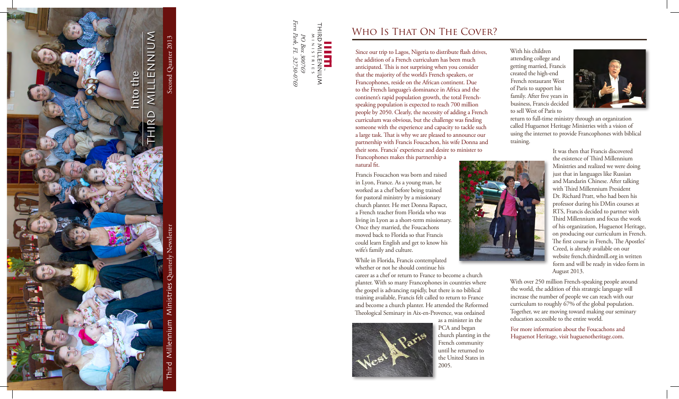

*32730-0769 FL ,Park Fern* THIRD<br>THIRD Park, PO Box *300769 Box PO*  ${\cal F\!I}$ : 300769<br>L 32730-0769 LEENNIUM<br>LLENNIUM<br>LLENNIUM

## WHO IS THAT ON THE COVER?

Since our trip to Lagos, Nigeria to distribute flash drives, the addition of a French curriculum has been much anticipated. This is not surprising when you consider that the majority of the world's French speakers, or Francophones, reside on the African continent. Due to the French language's dominance in Africa and the speaking population is expected to reach 700 million continent's rapid population growth, the total Frenchpeople by 2050. Clearly, the necessity of adding a French curriculum was obvious, but the challenge was finding someone with the experience and capacity to tackle such a large task. That is why we are pleased to announce our partnership with Francis Foucachon, his wife Donna and their sons. Francis' experience and desire to minister to

Francophones makes this partnership a natural fit.

Francis Foucachon was born and raised in Lyon, France. As a young man, he worked as a chef before being trained for pastoral ministry by a missionary church planter. He met Donna Rapacz, a French teacher from Florida who was living in Lyon as a short-term missionary. Once they married, the Foucachons moved back to Florida so that Francis could learn English and get to know his wife's family and culture.

While in Florida, Francis contemplated whether or not he should continue his career as a chef or return to France to become a church planter. With so many Francophones in countries where the gospel is advancing rapidly, but there is no biblical training available, Francis felt called to return to France and become a church planter. He attended the Reformed Theological Seminary in Aix-en-Provence, was ordained as a minister in the

It was then that Francis discovered the existence of Third Millennium Ministries and realized we were doing just that in languages like Russian and Mandarin Chinese. After talking with Third Millennium President Dr. Richard Pratt, who had been his professor during his DMin courses at RTS, Francis decided to partner with Third Millennium and focus the work of his organization, Huguenot Heritage, on producing our curriculum in French. The first course in French, The Apostles' Creed, is already available on our website french.thirdmill.org in written form and will be ready in video form in 2013. August

With over 250 million French-speaking people around the world, the addition of this strategic language will increase the number of people we can reach with our curriculum to roughly 67% of the global population. Together, we are moving toward making our seminary education accessible to the entire world.

For more information about the Foucachons and Huguenot Heritage, visit huguenotheritage.com.





With his children attending college and getting married, Francis created the high-end French restaurant West of Paris to support his family. After five years in business, Francis decided to sell West of Paris to



return to full-time ministry through an organization called Huguenot Heritage Ministries with a vision of using the internet to provide Francophones with biblical training.